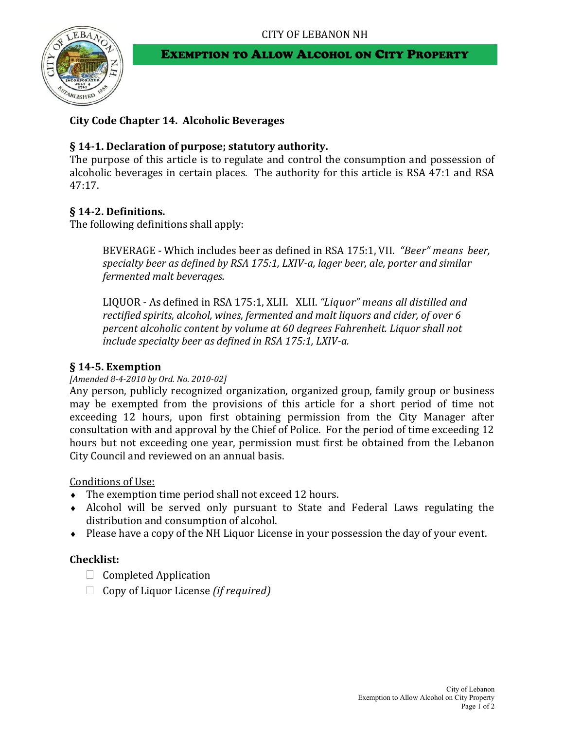

## EXEMPTION TO ALLOW ALCOHOL ON CITY PROPERTY

# **City Code Chapter 14. Alcoholic Beverages**

## **§ 14-1. Declaration of purpose; statutory authority.**

The purpose of this article is to regulate and control the consumption and possession of alcoholic beverages in certain places. The authority for this article is RSA 47:1 and RSA 47:17.

# **§ 14-2. Definitions.**

The following definitions shall apply:

BEVERAGE - Which includes beer as defined in RSA 175:1, VII. *"Beer" means beer, specialty beer as defined by RSA 175:1, LXIV-a, lager beer, ale, porter and similar fermented malt beverages.*

LIQUOR - As defined in RSA 175:1, XLII. XLII. *"Liquor" means all distilled and rectified spirits, alcohol, wines, fermented and malt liquors and cider, of over 6 percent alcoholic content by volume at 60 degrees Fahrenheit. Liquor shall not include specialty beer as defined in RSA 175:1, LXIV-a.*

### **§ 14-5. Exemption**

### *[Amended 8-4-2010 by Ord. No. 2010-02]*

Any person, publicly recognized organization, organized group, family group or business may be exempted from the provisions of this article for a short period of time not exceeding 12 hours, upon first obtaining permission from the City Manager after consultation with and approval by the Chief of Police. For the period of time exceeding 12 hours but not exceeding one year, permission must first be obtained from the Lebanon City Council and reviewed on an annual basis.

Conditions of Use:

- The exemption time period shall not exceed 12 hours.
- Alcohol will be served only pursuant to State and Federal Laws regulating the distribution and consumption of alcohol.
- Please have a copy of the NH Liquor License in your possession the day of your event.

## **Checklist:**

- $\Box$  Completed Application
- Copy of Liquor License *(if required)*